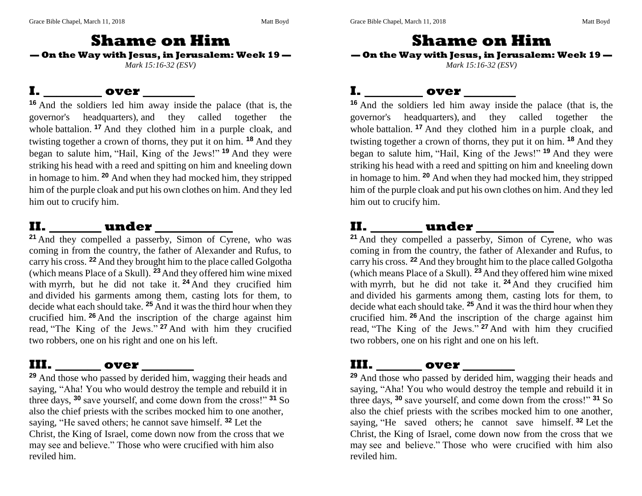### **Shame on Him — On the Way with Jesus, in Jerusalem: Week 19 —** *Mark 15:16-32 (ESV)*

#### **I. \_\_\_\_\_\_\_\_\_ over \_\_\_\_\_\_\_\_**

**<sup>16</sup>** And the soldiers led him away inside the palace (that is, the governor's headquarters), and they called together the whole battalion. <sup>17</sup> And they clothed him in a purple cloak, and twisting together a crown of thorns, they put it on him. **<sup>18</sup>** And they began to salute him, "Hail, King of the Jews!" **<sup>19</sup>** And they were striking his head with a reed and spitting on him and kneeling down in homage to him. **<sup>20</sup>** And when they had mocked him, they stripped him of the purple cloak and put his own clothes on him. And they led him out to crucify him.

#### **II. \_\_\_\_\_\_\_\_ under \_\_\_\_\_\_\_\_\_\_\_\_**

**<sup>21</sup>** And they compelled a passerby, Simon of Cyrene, who was coming in from the country, the father of Alexander and Rufus, to carry his cross. **<sup>22</sup>** And they brought him to the place called Golgotha (which means Place of a Skull). **<sup>23</sup>**And they offered him wine mixed with myrrh, but he did not take it. **<sup>24</sup>** And they crucified him and divided his garments among them, casting lots for them, to decide what each should take. **<sup>25</sup>** And it was the third hour when they crucified him. **<sup>26</sup>** And the inscription of the charge against him read, "The King of the Jews." **<sup>27</sup>** And with him they crucified two robbers, one on his right and one on his left.

### **III. \_\_\_\_\_\_\_ over \_\_\_\_\_\_\_\_**

**<sup>29</sup>** And those who passed by derided him, wagging their heads and saying, "Aha! You who would destroy the temple and rebuild it in three days, **<sup>30</sup>** save yourself, and come down from the cross!" **<sup>31</sup>** So also the chief priests with the scribes mocked him to one another, saying, "He saved others; he cannot save himself. **<sup>32</sup>** Let the Christ, the King of Israel, come down now from the cross that we may see and believe." Those who were crucified with him also reviled him.

**Shame on Him — On the Way with Jesus, in Jerusalem: Week 19 —** *Mark 15:16-32 (ESV)*

### **I. \_\_\_\_\_\_\_\_\_ over \_\_\_\_\_\_\_\_**

**<sup>16</sup>** And the soldiers led him away inside the palace (that is, the governor's headquarters), and they called together the whole battalion. <sup>17</sup> And they clothed him in a purple cloak, and twisting together a crown of thorns, they put it on him. **<sup>18</sup>** And they began to salute him, "Hail, King of the Jews!" **<sup>19</sup>** And they were striking his head with a reed and spitting on him and kneeling down in homage to him. **<sup>20</sup>** And when they had mocked him, they stripped him of the purple cloak and put his own clothes on him. And they led him out to crucify him.

## **II. \_\_\_\_\_\_\_\_ under \_\_\_\_\_\_\_\_\_\_\_\_**

<sup>21</sup> And they compelled a passerby, Simon of Cyrene, who was coming in from the country, the father of Alexander and Rufus, to carry his cross. **<sup>22</sup>** And they brought him to the place called Golgotha (which means Place of a Skull). **<sup>23</sup>**And they offered him wine mixed with myrrh, but he did not take it. **<sup>24</sup>** And they crucified him and divided his garments among them, casting lots for them, to decide what each should take. **<sup>25</sup>** And it was the third hour when they crucified him. **<sup>26</sup>** And the inscription of the charge against him read, "The King of the Jews." **<sup>27</sup>** And with him they crucified two robbers, one on his right and one on his left.

### **III. \_\_\_\_\_\_\_ over \_\_\_\_\_\_\_\_**

**<sup>29</sup>** And those who passed by derided him, wagging their heads and saying, "Aha! You who would destroy the temple and rebuild it in three days, **<sup>30</sup>** save yourself, and come down from the cross!" **<sup>31</sup>** So also the chief priests with the scribes mocked him to one another, saying, "He saved others; he cannot save himself. **<sup>32</sup>** Let the Christ, the King of Israel, come down now from the cross that we may see and believe." Those who were crucified with him also reviled him.